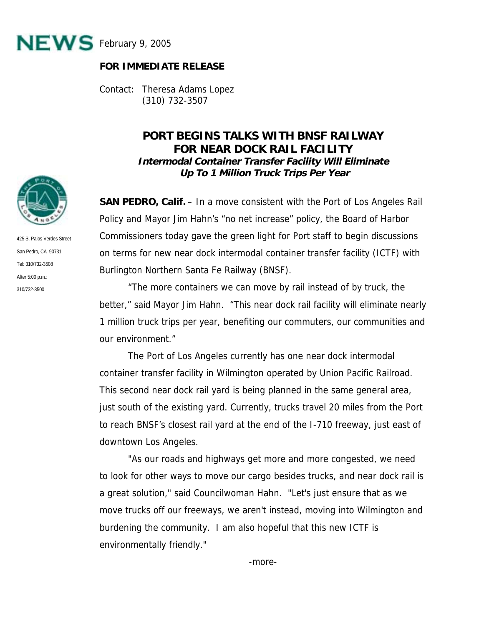

## **FOR IMMEDIATE RELEASE**

Contact: Theresa Adams Lopez (310) 732-3507

## **PORT BEGINS TALKS WITH BNSF RAILWAY FOR NEAR DOCK RAIL FACILITY Intermodal Container Transfer Facility Will Eliminate Up To 1 Million Truck Trips Per Year**

**SAN PEDRO, Calif.** – In a move consistent with the Port of Los Angeles Rail Policy and Mayor Jim Hahn's "no net increase" policy, the Board of Harbor Commissioners today gave the green light for Port staff to begin discussions on terms for new near dock intermodal container transfer facility (ICTF) with Burlington Northern Santa Fe Railway (BNSF).

 "The more containers we can move by rail instead of by truck, the better," said Mayor Jim Hahn. "This near dock rail facility will eliminate nearly 1 million truck trips per year, benefiting our commuters, our communities and our environment."

 The Port of Los Angeles currently has one near dock intermodal container transfer facility in Wilmington operated by Union Pacific Railroad. This second near dock rail yard is being planned in the same general area, just south of the existing yard. Currently, trucks travel 20 miles from the Port to reach BNSF's closest rail yard at the end of the I-710 freeway, just east of downtown Los Angeles.

 "As our roads and highways get more and more congested, we need to look for other ways to move our cargo besides trucks, and near dock rail is a great solution," said Councilwoman Hahn. "Let's just ensure that as we move trucks off our freeways, we aren't instead, moving into Wilmington and burdening the community. I am also hopeful that this new ICTF is environmentally friendly."



425 S. Palos Verdes Street San Pedro, CA 90731 Tel: 310/732-3508 After 5:00 p.m.: 310/732-3500